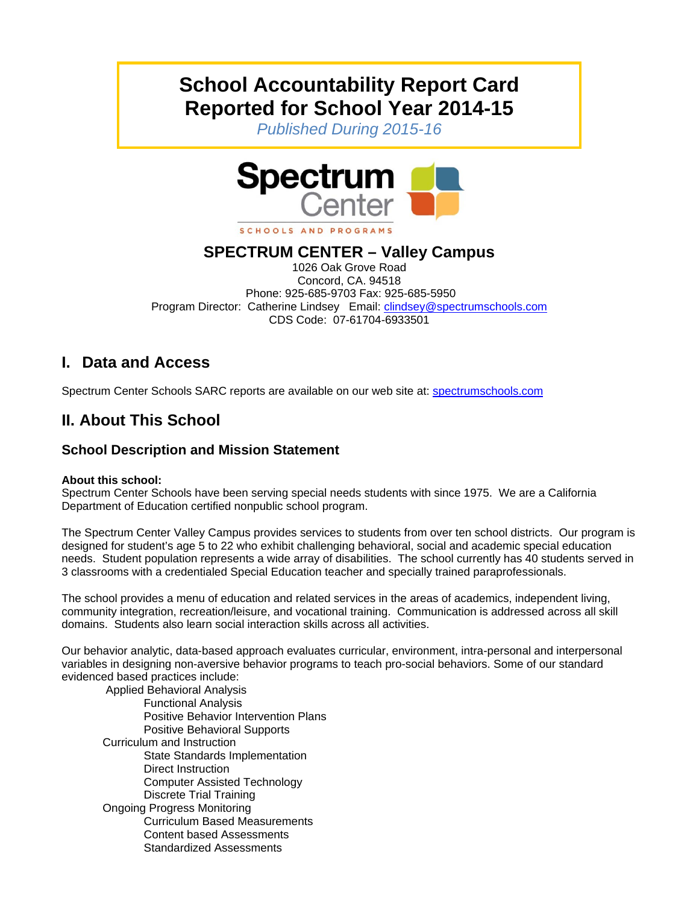# **School Accountability Report Card Reported for School Year 2014-15**

*Published During 2015-16* 



#### SCHOOLS AND PROGRAMS

### **SPECTRUM CENTER – Valley Campus**

1026 Oak Grove Road Concord, CA. 94518 Phone: 925-685-9703 Fax: 925-685-5950 Program Director: Catherine Lindsey Email: clindsey@spectrumschools.com CDS Code: 07-61704-6933501

## **I. Data and Access**

Spectrum Center Schools SARC reports are available on our web site at: spectrumschools.com

## **II. About This School**

### **School Description and Mission Statement**

#### **About this school:**

Spectrum Center Schools have been serving special needs students with since 1975. We are a California Department of Education certified nonpublic school program.

The Spectrum Center Valley Campus provides services to students from over ten school districts. Our program is designed for student's age 5 to 22 who exhibit challenging behavioral, social and academic special education needs. Student population represents a wide array of disabilities. The school currently has 40 students served in 3 classrooms with a credentialed Special Education teacher and specially trained paraprofessionals.

The school provides a menu of education and related services in the areas of academics, independent living, community integration, recreation/leisure, and vocational training. Communication is addressed across all skill domains. Students also learn social interaction skills across all activities.

Our behavior analytic, data-based approach evaluates curricular, environment, intra-personal and interpersonal variables in designing non-aversive behavior programs to teach pro-social behaviors. Some of our standard evidenced based practices include:

 Applied Behavioral Analysis Functional Analysis Positive Behavior Intervention Plans Positive Behavioral Supports Curriculum and Instruction State Standards Implementation Direct Instruction Computer Assisted Technology Discrete Trial Training Ongoing Progress Monitoring Curriculum Based Measurements Content based Assessments Standardized Assessments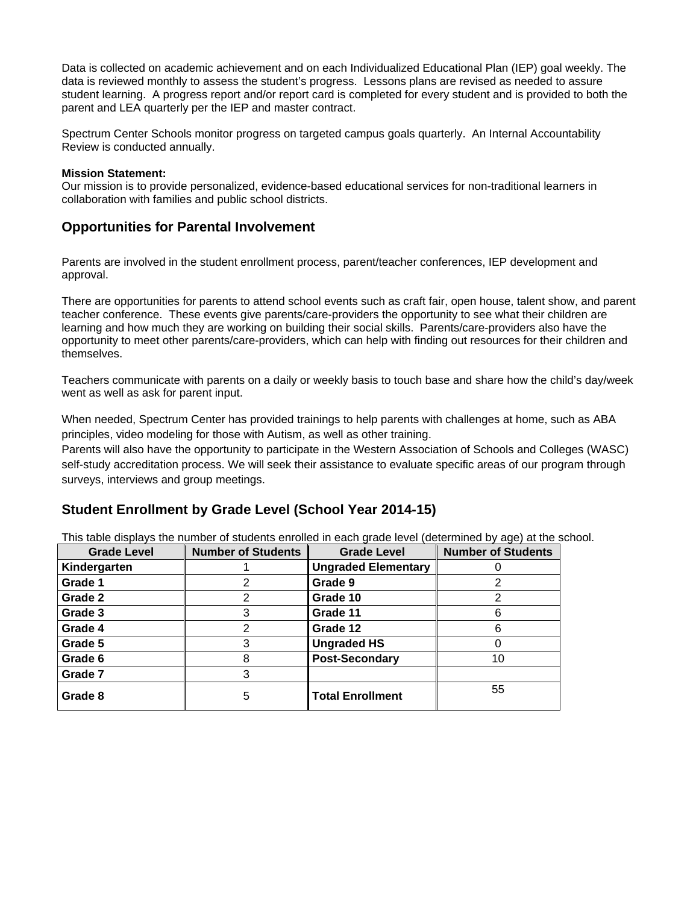Data is collected on academic achievement and on each Individualized Educational Plan (IEP) goal weekly. The data is reviewed monthly to assess the student's progress. Lessons plans are revised as needed to assure student learning. A progress report and/or report card is completed for every student and is provided to both the parent and LEA quarterly per the IEP and master contract.

Spectrum Center Schools monitor progress on targeted campus goals quarterly. An Internal Accountability Review is conducted annually.

#### **Mission Statement:**

Our mission is to provide personalized, evidence-based educational services for non-traditional learners in collaboration with families and public school districts.

#### **Opportunities for Parental Involvement**

Parents are involved in the student enrollment process, parent/teacher conferences, IEP development and approval.

There are opportunities for parents to attend school events such as craft fair, open house, talent show, and parent teacher conference. These events give parents/care-providers the opportunity to see what their children are learning and how much they are working on building their social skills. Parents/care-providers also have the opportunity to meet other parents/care-providers, which can help with finding out resources for their children and themselves.

Teachers communicate with parents on a daily or weekly basis to touch base and share how the child's day/week went as well as ask for parent input.

When needed, Spectrum Center has provided trainings to help parents with challenges at home, such as ABA principles, video modeling for those with Autism, as well as other training.

Parents will also have the opportunity to participate in the Western Association of Schools and Colleges (WASC) self-study accreditation process. We will seek their assistance to evaluate specific areas of our program through surveys, interviews and group meetings.

#### **Student Enrollment by Grade Level (School Year 2014-15)**

This table displays the number of students enrolled in each grade level (determined by age) at the school.

| <b>Grade Level</b> | <b>Number of Students</b> | <b>Grade Level</b>         | <b>Number of Students</b> |
|--------------------|---------------------------|----------------------------|---------------------------|
| Kindergarten       |                           | <b>Ungraded Elementary</b> |                           |
| Grade 1            | 2                         | Grade 9                    |                           |
| Grade 2            | 2                         | Grade 10                   | 2                         |
| Grade 3            | 3                         | Grade 11                   | 6                         |
| Grade 4            | $\mathcal{P}$             | Grade 12                   | 6                         |
| Grade 5            | 3                         | <b>Ungraded HS</b>         |                           |
| Grade 6            | 8                         | <b>Post-Secondary</b>      | 10                        |
| Grade 7            | 3                         |                            |                           |
| Grade 8            | 5                         | <b>Total Enrollment</b>    | 55                        |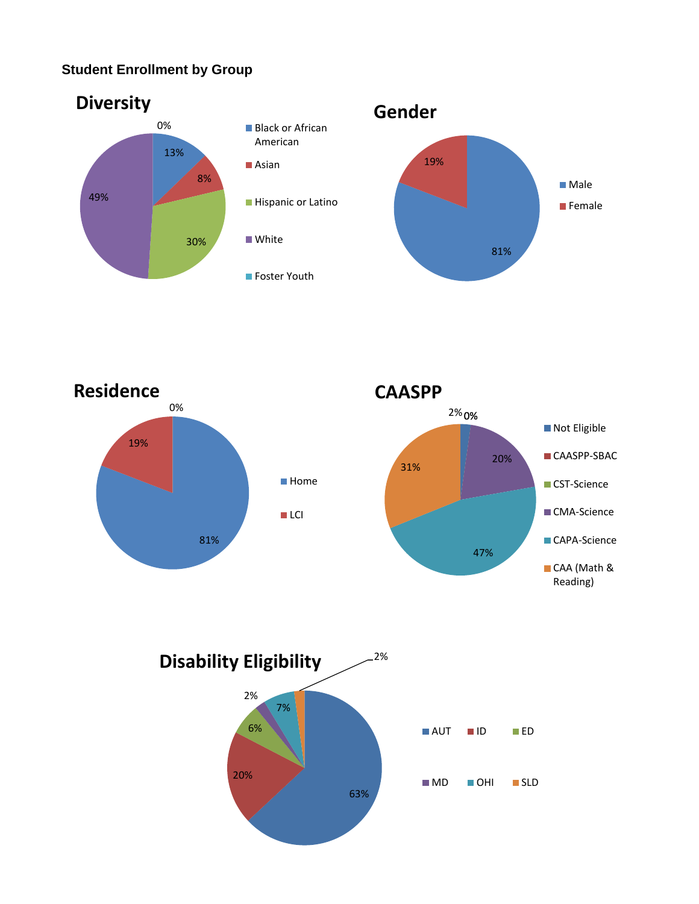### **Student Enrollment by Group**







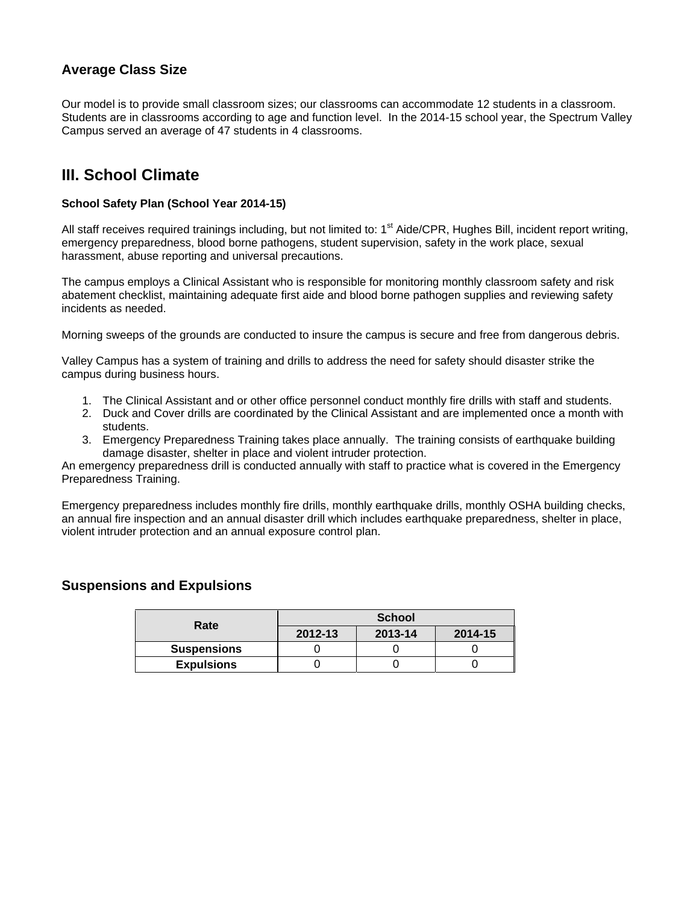### **Average Class Size**

Our model is to provide small classroom sizes; our classrooms can accommodate 12 students in a classroom. Students are in classrooms according to age and function level. In the 2014-15 school year, the Spectrum Valley Campus served an average of 47 students in 4 classrooms.

## **III. School Climate**

#### **School Safety Plan (School Year 2014-15)**

All staff receives required trainings including, but not limited to: 1<sup>st</sup> Aide/CPR, Hughes Bill, incident report writing, emergency preparedness, blood borne pathogens, student supervision, safety in the work place, sexual harassment, abuse reporting and universal precautions.

The campus employs a Clinical Assistant who is responsible for monitoring monthly classroom safety and risk abatement checklist, maintaining adequate first aide and blood borne pathogen supplies and reviewing safety incidents as needed.

Morning sweeps of the grounds are conducted to insure the campus is secure and free from dangerous debris.

Valley Campus has a system of training and drills to address the need for safety should disaster strike the campus during business hours.

- 1. The Clinical Assistant and or other office personnel conduct monthly fire drills with staff and students.
- 2. Duck and Cover drills are coordinated by the Clinical Assistant and are implemented once a month with students.
- 3. Emergency Preparedness Training takes place annually. The training consists of earthquake building damage disaster, shelter in place and violent intruder protection.

An emergency preparedness drill is conducted annually with staff to practice what is covered in the Emergency Preparedness Training.

Emergency preparedness includes monthly fire drills, monthly earthquake drills, monthly OSHA building checks, an annual fire inspection and an annual disaster drill which includes earthquake preparedness, shelter in place, violent intruder protection and an annual exposure control plan.

#### **Suspensions and Expulsions**

| Rate               | <b>School</b>      |  |         |  |  |
|--------------------|--------------------|--|---------|--|--|
|                    | 2013-14<br>2012-13 |  | 2014-15 |  |  |
| <b>Suspensions</b> |                    |  |         |  |  |
| <b>Expulsions</b>  |                    |  |         |  |  |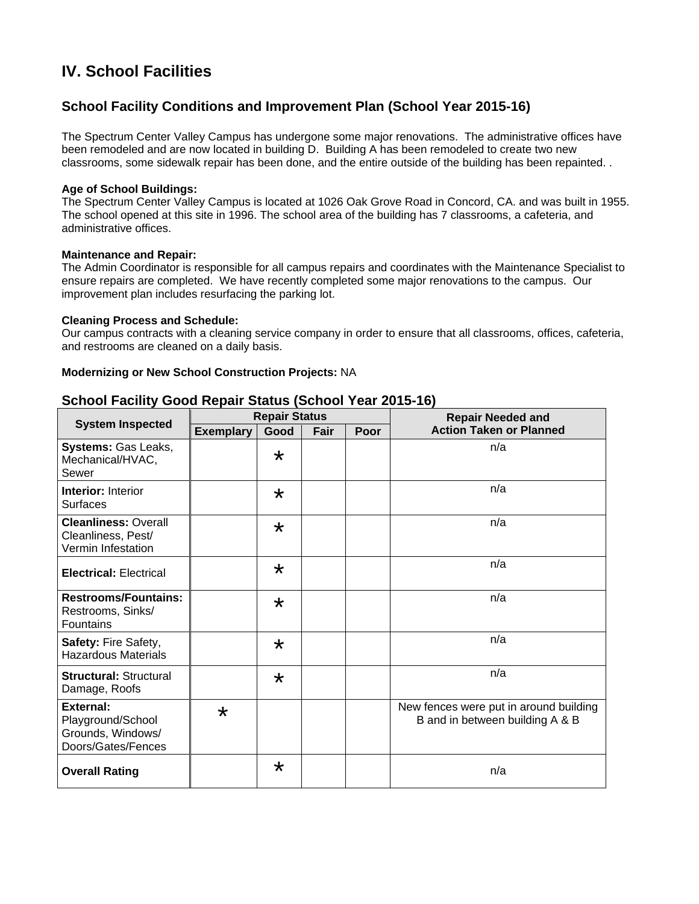## **IV. School Facilities**

### **School Facility Conditions and Improvement Plan (School Year 2015-16)**

The Spectrum Center Valley Campus has undergone some major renovations. The administrative offices have been remodeled and are now located in building D. Building A has been remodeled to create two new classrooms, some sidewalk repair has been done, and the entire outside of the building has been repainted. .

#### **Age of School Buildings:**

The Spectrum Center Valley Campus is located at 1026 Oak Grove Road in Concord, CA. and was built in 1955. The school opened at this site in 1996. The school area of the building has 7 classrooms, a cafeteria, and administrative offices.

#### **Maintenance and Repair:**

The Admin Coordinator is responsible for all campus repairs and coordinates with the Maintenance Specialist to ensure repairs are completed. We have recently completed some major renovations to the campus. Our improvement plan includes resurfacing the parking lot.

#### **Cleaning Process and Schedule:**

Our campus contracts with a cleaning service company in order to ensure that all classrooms, offices, cafeteria, and restrooms are cleaned on a daily basis.

#### **Modernizing or New School Construction Projects:** NA

|                                                                                  | <b>Repair Status</b> |         |      |      | <b>Repair Needed and</b>                                                  |  |  |
|----------------------------------------------------------------------------------|----------------------|---------|------|------|---------------------------------------------------------------------------|--|--|
| <b>System Inspected</b>                                                          | <b>Exemplary</b>     | Good    | Fair | Poor | <b>Action Taken or Planned</b>                                            |  |  |
| Systems: Gas Leaks,<br>Mechanical/HVAC,<br>Sewer                                 |                      | $\star$ |      |      | n/a                                                                       |  |  |
| <b>Interior: Interior</b><br><b>Surfaces</b>                                     |                      | $\star$ |      |      | n/a                                                                       |  |  |
| <b>Cleanliness: Overall</b><br>Cleanliness, Pest/<br>Vermin Infestation          |                      | $\star$ |      |      | n/a                                                                       |  |  |
| <b>Electrical: Electrical</b>                                                    |                      | $\star$ |      |      | n/a                                                                       |  |  |
| <b>Restrooms/Fountains:</b><br>Restrooms, Sinks/<br><b>Fountains</b>             |                      | $\star$ |      |      | n/a                                                                       |  |  |
| Safety: Fire Safety,<br><b>Hazardous Materials</b>                               |                      | $\star$ |      |      | n/a                                                                       |  |  |
| <b>Structural: Structural</b><br>Damage, Roofs                                   |                      | $\star$ |      |      | n/a                                                                       |  |  |
| <b>External:</b><br>Playground/School<br>Grounds, Windows/<br>Doors/Gates/Fences | $\star$              |         |      |      | New fences were put in around building<br>B and in between building A & B |  |  |
| <b>Overall Rating</b>                                                            |                      | $\star$ |      |      | n/a                                                                       |  |  |

#### **School Facility Good Repair Status (School Year 2015-16)**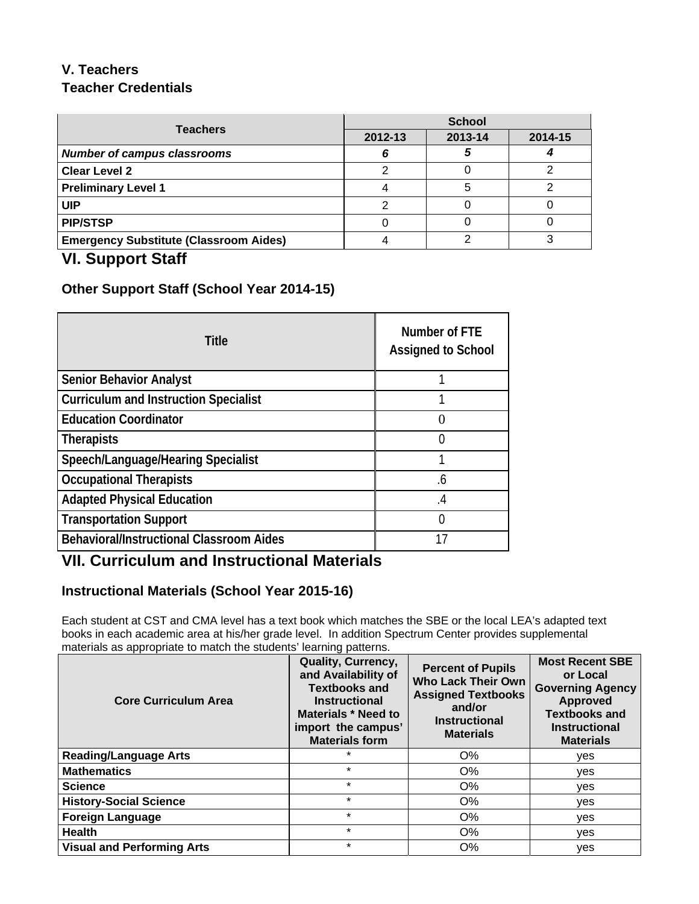## **V. Teachers Teacher Credentials**

| <b>Teachers</b>                               | <b>School</b> |         |         |  |  |
|-----------------------------------------------|---------------|---------|---------|--|--|
|                                               | 2012-13       | 2013-14 | 2014-15 |  |  |
| <b>Number of campus classrooms</b>            |               |         |         |  |  |
| <b>Clear Level 2</b>                          |               |         |         |  |  |
| <b>Preliminary Level 1</b>                    |               |         |         |  |  |
| UIP                                           |               |         |         |  |  |
| <b>PIP/STSP</b>                               |               |         |         |  |  |
| <b>Emergency Substitute (Classroom Aides)</b> |               |         |         |  |  |

### **VI. Support Staff**

### **Other Support Staff (School Year 2014-15)**

| <b>Title</b>                                    | Number of FTE<br><b>Assigned to School</b> |
|-------------------------------------------------|--------------------------------------------|
| <b>Senior Behavior Analyst</b>                  |                                            |
| <b>Curriculum and Instruction Specialist</b>    |                                            |
| <b>Education Coordinator</b>                    | 0                                          |
| <b>Therapists</b>                               | 0                                          |
| Speech/Language/Hearing Specialist              |                                            |
| <b>Occupational Therapists</b>                  | .6                                         |
| <b>Adapted Physical Education</b>               | .4                                         |
| <b>Transportation Support</b>                   | O                                          |
| <b>Behavioral/Instructional Classroom Aides</b> | 17                                         |

## **VII. Curriculum and Instructional Materials**

### **Instructional Materials (School Year 2015-16)**

Each student at CST and CMA level has a text book which matches the SBE or the local LEA's adapted text books in each academic area at his/her grade level. In addition Spectrum Center provides supplemental materials as appropriate to match the students' learning patterns.

| <b>Core Curriculum Area</b>       | Quality, Currency,<br>and Availability of<br><b>Textbooks and</b><br><b>Instructional</b><br><b>Materials * Need to</b><br>import the campus'<br><b>Materials form</b> | <b>Percent of Pupils</b><br><b>Who Lack Their Own</b><br><b>Assigned Textbooks</b><br>and/or<br><b>Instructional</b><br><b>Materials</b> | <b>Most Recent SBE</b><br>or Local<br><b>Governing Agency</b><br><b>Approved</b><br><b>Textbooks and</b><br><b>Instructional</b><br><b>Materials</b> |
|-----------------------------------|------------------------------------------------------------------------------------------------------------------------------------------------------------------------|------------------------------------------------------------------------------------------------------------------------------------------|------------------------------------------------------------------------------------------------------------------------------------------------------|
| <b>Reading/Language Arts</b>      | $\star$                                                                                                                                                                | $O\%$                                                                                                                                    | yes                                                                                                                                                  |
| <b>Mathematics</b>                | $\star$                                                                                                                                                                | $O\%$                                                                                                                                    | ves                                                                                                                                                  |
| <b>Science</b>                    | $\star$                                                                                                                                                                | O%                                                                                                                                       | yes                                                                                                                                                  |
| <b>History-Social Science</b>     | $\star$                                                                                                                                                                | O%                                                                                                                                       | yes                                                                                                                                                  |
| <b>Foreign Language</b>           | $\star$                                                                                                                                                                | $O\%$                                                                                                                                    | ves                                                                                                                                                  |
| <b>Health</b>                     | $\star$                                                                                                                                                                | O%                                                                                                                                       | yes                                                                                                                                                  |
| <b>Visual and Performing Arts</b> | $\star$                                                                                                                                                                | O%                                                                                                                                       | ves                                                                                                                                                  |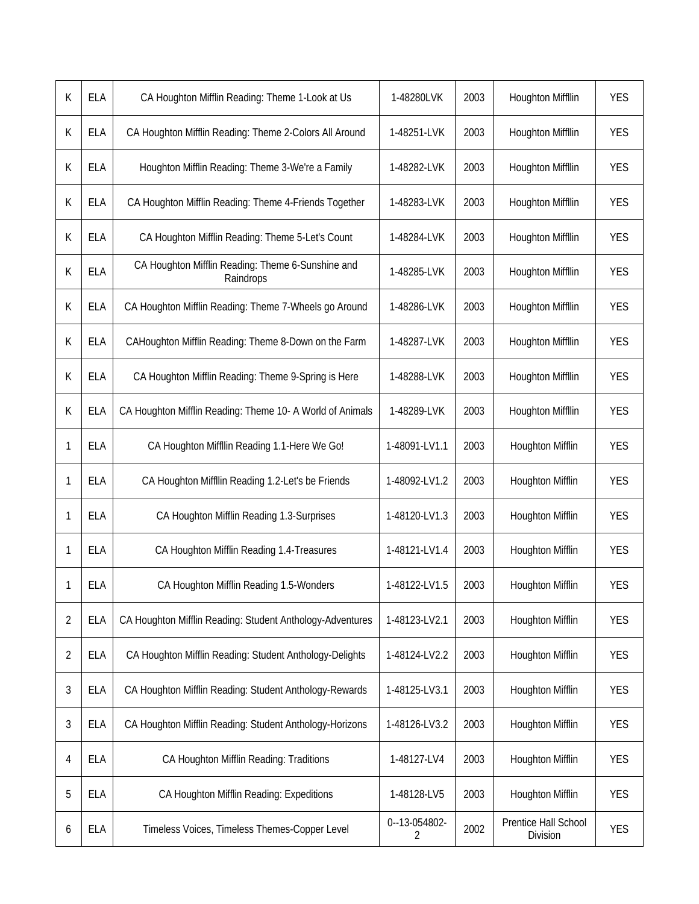| K              | <b>ELA</b> | CA Houghton Mifflin Reading: Theme 1-Look at Us                | 1-48280LVK         | 2003 | <b>Houghton Miffllin</b>         | <b>YES</b> |
|----------------|------------|----------------------------------------------------------------|--------------------|------|----------------------------------|------------|
| K              | <b>ELA</b> | CA Houghton Mifflin Reading: Theme 2-Colors All Around         | 1-48251-LVK        | 2003 | Houghton Miffllin                | <b>YES</b> |
| K              | <b>ELA</b> | Houghton Mifflin Reading: Theme 3-We're a Family               | 1-48282-LVK        | 2003 | Houghton Miffllin                | <b>YES</b> |
| K              | <b>ELA</b> | CA Houghton Mifflin Reading: Theme 4-Friends Together          | 1-48283-LVK        | 2003 | <b>Houghton Miffllin</b>         | <b>YES</b> |
| K              | <b>ELA</b> | CA Houghton Mifflin Reading: Theme 5-Let's Count               | 1-48284-LVK        | 2003 | Houghton Miffllin                | <b>YES</b> |
| K              | <b>ELA</b> | CA Houghton Mifflin Reading: Theme 6-Sunshine and<br>Raindrops | 1-48285-LVK        | 2003 | Houghton Miffllin                | <b>YES</b> |
| K              | <b>ELA</b> | CA Houghton Mifflin Reading: Theme 7-Wheels go Around          | 1-48286-LVK        | 2003 | <b>Houghton Miffllin</b>         | <b>YES</b> |
| K              | <b>ELA</b> | CAHoughton Mifflin Reading: Theme 8-Down on the Farm           | 1-48287-LVK        | 2003 | <b>Houghton Miffllin</b>         | <b>YES</b> |
| K              | <b>ELA</b> | CA Houghton Mifflin Reading: Theme 9-Spring is Here            | 1-48288-LVK        | 2003 | Houghton Miffllin                | <b>YES</b> |
| K              | <b>ELA</b> | CA Houghton Mifflin Reading: Theme 10- A World of Animals      | 1-48289-LVK        | 2003 | <b>Houghton Miffllin</b>         | <b>YES</b> |
| 1              | <b>ELA</b> | CA Houghton Miffllin Reading 1.1-Here We Go!                   | 1-48091-LV1.1      | 2003 | <b>Houghton Mifflin</b>          | <b>YES</b> |
| 1              | <b>ELA</b> | CA Houghton Miffllin Reading 1.2-Let's be Friends              | 1-48092-LV1.2      | 2003 | <b>Houghton Mifflin</b>          | <b>YES</b> |
| 1              | <b>ELA</b> | CA Houghton Mifflin Reading 1.3-Surprises                      | 1-48120-LV1.3      | 2003 | <b>Houghton Mifflin</b>          | <b>YES</b> |
| 1              | <b>ELA</b> | CA Houghton Mifflin Reading 1.4-Treasures                      | 1-48121-LV1.4      | 2003 | <b>Houghton Mifflin</b>          | <b>YES</b> |
| 1              | ELA        | CA Houghton Mifflin Reading 1.5-Wonders                        | 1-48122-LV1.5      | 2003 | <b>Houghton Mifflin</b>          | <b>YES</b> |
| $\overline{2}$ | <b>ELA</b> | CA Houghton Mifflin Reading: Student Anthology-Adventures      | 1-48123-LV2.1      | 2003 | Houghton Mifflin                 | <b>YES</b> |
| $\overline{2}$ | <b>ELA</b> | CA Houghton Mifflin Reading: Student Anthology-Delights        | 1-48124-LV2.2      | 2003 | <b>Houghton Mifflin</b>          | <b>YES</b> |
| 3              | <b>ELA</b> | CA Houghton Mifflin Reading: Student Anthology-Rewards         | 1-48125-LV3.1      | 2003 | <b>Houghton Mifflin</b>          | <b>YES</b> |
| 3              | <b>ELA</b> | CA Houghton Mifflin Reading: Student Anthology-Horizons        | 1-48126-LV3.2      | 2003 | Houghton Mifflin                 | <b>YES</b> |
| 4              | <b>ELA</b> | CA Houghton Mifflin Reading: Traditions                        | 1-48127-LV4        | 2003 | <b>Houghton Mifflin</b>          | <b>YES</b> |
| 5              | <b>ELA</b> | CA Houghton Mifflin Reading: Expeditions                       | 1-48128-LV5        | 2003 | <b>Houghton Mifflin</b>          | <b>YES</b> |
| 6              | <b>ELA</b> | Timeless Voices, Timeless Themes-Copper Level                  | 0--13-054802-<br>2 | 2002 | Prentice Hall School<br>Division | <b>YES</b> |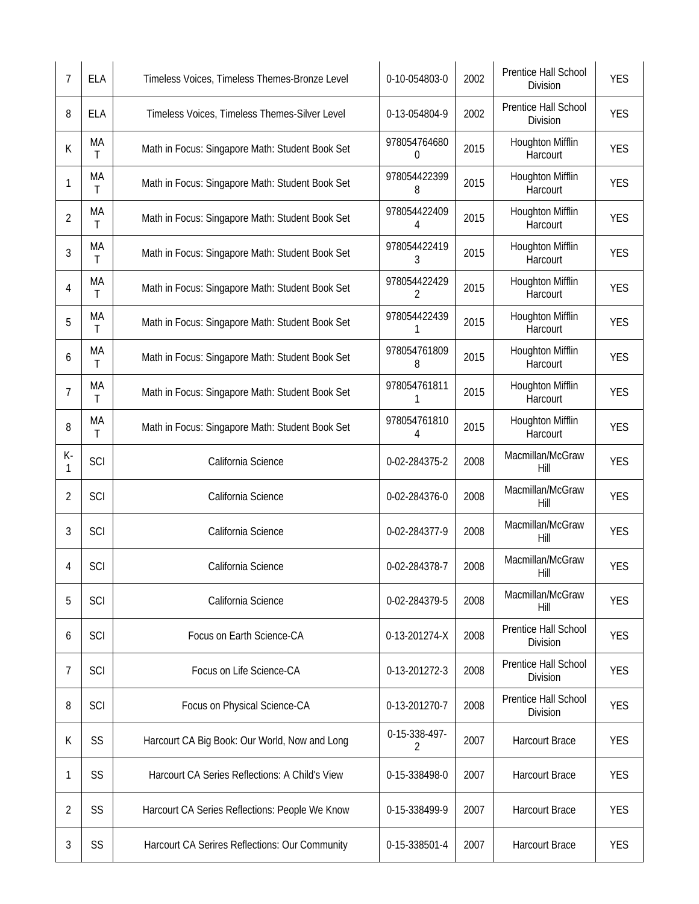| 7       | <b>ELA</b> | Timeless Voices, Timeless Themes-Bronze Level   | 0-10-054803-0      | 2002 | Prentice Hall School<br><b>Division</b> | <b>YES</b> |
|---------|------------|-------------------------------------------------|--------------------|------|-----------------------------------------|------------|
| 8       | <b>ELA</b> | Timeless Voices, Timeless Themes-Silver Level   | 0-13-054804-9      | 2002 | Prentice Hall School<br>Division        | <b>YES</b> |
| К       | MA<br>T.   | Math in Focus: Singapore Math: Student Book Set | 978054764680<br>0  | 2015 | Houghton Mifflin<br>Harcourt            | <b>YES</b> |
| 1       | MA<br>T    | Math in Focus: Singapore Math: Student Book Set | 978054422399<br>8  | 2015 | Houghton Mifflin<br>Harcourt            | <b>YES</b> |
| 2       | MA<br>Τ    | Math in Focus: Singapore Math: Student Book Set | 978054422409<br>4  | 2015 | <b>Houghton Mifflin</b><br>Harcourt     | <b>YES</b> |
| 3       | MA<br>T    | Math in Focus: Singapore Math: Student Book Set | 978054422419<br>3  | 2015 | Houghton Mifflin<br>Harcourt            | <b>YES</b> |
| 4       | MA<br>Τ    | Math in Focus: Singapore Math: Student Book Set | 978054422429<br>2  | 2015 | Houghton Mifflin<br>Harcourt            | <b>YES</b> |
| 5       | MA<br>Τ    | Math in Focus: Singapore Math: Student Book Set | 978054422439<br>1  | 2015 | Houghton Mifflin<br>Harcourt            | <b>YES</b> |
| 6       | MA<br>Τ    | Math in Focus: Singapore Math: Student Book Set | 978054761809<br>8  | 2015 | Houghton Mifflin<br>Harcourt            | <b>YES</b> |
| 7       | МA<br>Τ    | Math in Focus: Singapore Math: Student Book Set | 978054761811       | 2015 | Houghton Mifflin<br>Harcourt            | <b>YES</b> |
| 8       | МA<br>Τ    | Math in Focus: Singapore Math: Student Book Set | 978054761810<br>4  | 2015 | <b>Houghton Mifflin</b><br>Harcourt     | <b>YES</b> |
| K-<br>1 | SCI        | California Science                              | 0-02-284375-2      | 2008 | Macmillan/McGraw<br>Hill                | <b>YES</b> |
| 2       | SCI        | California Science                              | 0-02-284376-0      | 2008 | Macmillan/McGraw<br>Hill                | <b>YES</b> |
| 3       | SCI        | California Science                              | 0-02-284377-9      | 2008 | Macmillan/McGraw<br>Hill                | <b>YES</b> |
| 4       | SCI        | California Science                              | 0-02-284378-7      | 2008 | Macmillan/McGraw<br>Hill                | <b>YES</b> |
| 5       | SCI        | California Science                              | 0-02-284379-5      | 2008 | Macmillan/McGraw<br>Hill                | <b>YES</b> |
| 6       | SCI        | Focus on Earth Science-CA                       | 0-13-201274-X      | 2008 | Prentice Hall School<br>Division        | <b>YES</b> |
| 7       | SCI        | Focus on Life Science-CA                        | 0-13-201272-3      | 2008 | Prentice Hall School<br>Division        | <b>YES</b> |
| 8       | SCI        | Focus on Physical Science-CA                    | 0-13-201270-7      | 2008 | Prentice Hall School<br>Division        | <b>YES</b> |
| К       | SS         | Harcourt CA Big Book: Our World, Now and Long   | 0-15-338-497-<br>2 | 2007 | <b>Harcourt Brace</b>                   | <b>YES</b> |
| 1       | SS         | Harcourt CA Series Reflections: A Child's View  | 0-15-338498-0      | 2007 | <b>Harcourt Brace</b>                   | <b>YES</b> |
| 2       | SS         | Harcourt CA Series Reflections: People We Know  | 0-15-338499-9      | 2007 | <b>Harcourt Brace</b>                   | <b>YES</b> |
| 3       | SS         | Harcourt CA Serires Reflections: Our Community  | 0-15-338501-4      | 2007 | Harcourt Brace                          | <b>YES</b> |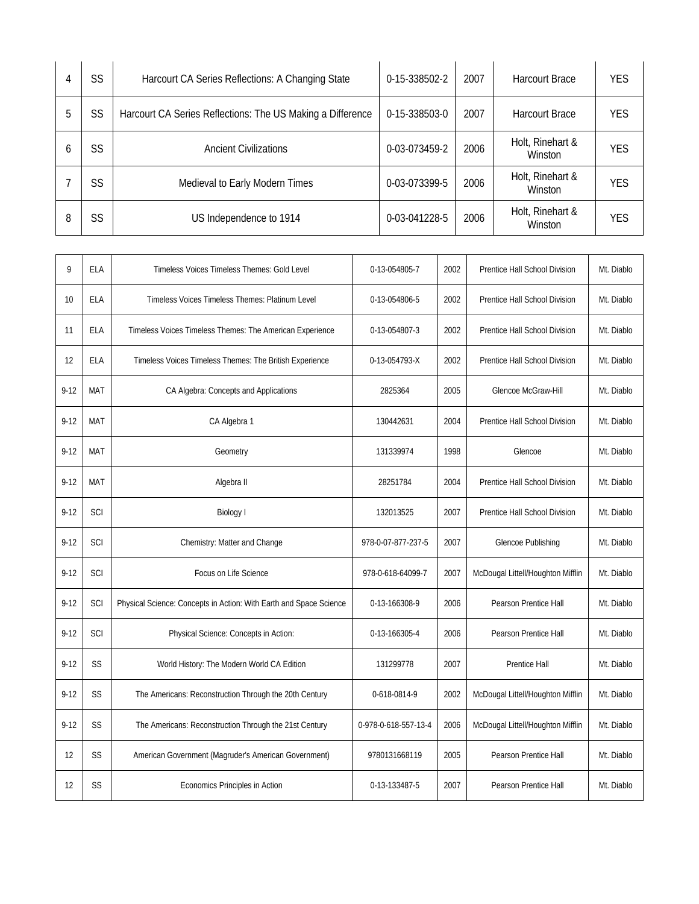| 4 | SS | Harcourt CA Series Reflections: A Changing State           | 0-15-338502-2 | 2007 | <b>Harcourt Brace</b>       | <b>YES</b> |
|---|----|------------------------------------------------------------|---------------|------|-----------------------------|------------|
| 5 | SS | Harcourt CA Series Reflections: The US Making a Difference | 0-15-338503-0 | 2007 | Harcourt Brace              | <b>YES</b> |
| b | SS | <b>Ancient Civilizations</b>                               | 0-03-073459-2 | 2006 | Holt, Rinehart &<br>Winston | <b>YES</b> |
|   | SS | Medieval to Early Modern Times                             | 0-03-073399-5 | 2006 | Holt, Rinehart &<br>Winston | YES        |
| 8 | SS | US Independence to 1914                                    | 0-03-041228-5 | 2006 | Holt, Rinehart &<br>Winston | <b>YES</b> |

| 9        | ELA        | Timeless Voices Timeless Themes: Gold Level                        | 0-13-054805-7        | 2002 | Prentice Hall School Division     | Mt. Diablo |
|----------|------------|--------------------------------------------------------------------|----------------------|------|-----------------------------------|------------|
| 10       | ELA        | Timeless Voices Timeless Themes: Platinum Level                    | 0-13-054806-5        | 2002 | Prentice Hall School Division     | Mt. Diablo |
| 11       | ELA        | Timeless Voices Timeless Themes: The American Experience           | 0-13-054807-3        | 2002 | Prentice Hall School Division     | Mt. Diablo |
| 12       | <b>ELA</b> | Timeless Voices Timeless Themes: The British Experience            | 0-13-054793-X        | 2002 | Prentice Hall School Division     | Mt. Diablo |
| $9 - 12$ | MAT        | CA Algebra: Concepts and Applications                              | 2825364              | 2005 | Glencoe McGraw-Hill               | Mt. Diablo |
| $9 - 12$ | <b>MAT</b> | CA Algebra 1                                                       | 130442631            | 2004 | Prentice Hall School Division     | Mt. Diablo |
| $9 - 12$ | MAT        | Geometry                                                           | 131339974            | 1998 | Glencoe                           | Mt. Diablo |
| $9 - 12$ | MAT        | Algebra II                                                         | 28251784             | 2004 | Prentice Hall School Division     | Mt. Diablo |
| $9 - 12$ | SCI        | <b>Biology</b> I                                                   | 132013525            | 2007 | Prentice Hall School Division     | Mt. Diablo |
| $9 - 12$ | SCI        | Chemistry: Matter and Change                                       | 978-0-07-877-237-5   | 2007 | Glencoe Publishing                | Mt. Diablo |
| $9 - 12$ | SCI        | Focus on Life Science                                              | 978-0-618-64099-7    | 2007 | McDougal Littell/Houghton Mifflin | Mt. Diablo |
| $9 - 12$ | <b>SCI</b> | Physical Science: Concepts in Action: With Earth and Space Science | 0-13-166308-9        | 2006 | Pearson Prentice Hall             | Mt. Diablo |
| $9 - 12$ | SCI        | Physical Science: Concepts in Action:                              | 0-13-166305-4        | 2006 | Pearson Prentice Hall             | Mt. Diablo |
| $9 - 12$ | <b>SS</b>  | World History: The Modern World CA Edition                         | 131299778            | 2007 | Prentice Hall                     | Mt. Diablo |
| $9 - 12$ | SS         | The Americans: Reconstruction Through the 20th Century             | 0-618-0814-9         | 2002 | McDougal Littell/Houghton Mifflin | Mt. Diablo |
| $9 - 12$ | <b>SS</b>  | The Americans: Reconstruction Through the 21st Century             | 0-978-0-618-557-13-4 | 2006 | McDougal Littell/Houghton Mifflin | Mt. Diablo |
| 12       | SS         | American Government (Magruder's American Government)               | 9780131668119        | 2005 | Pearson Prentice Hall             | Mt. Diablo |
| 12       | <b>SS</b>  | Economics Principles in Action                                     | 0-13-133487-5        | 2007 | Pearson Prentice Hall             | Mt. Diablo |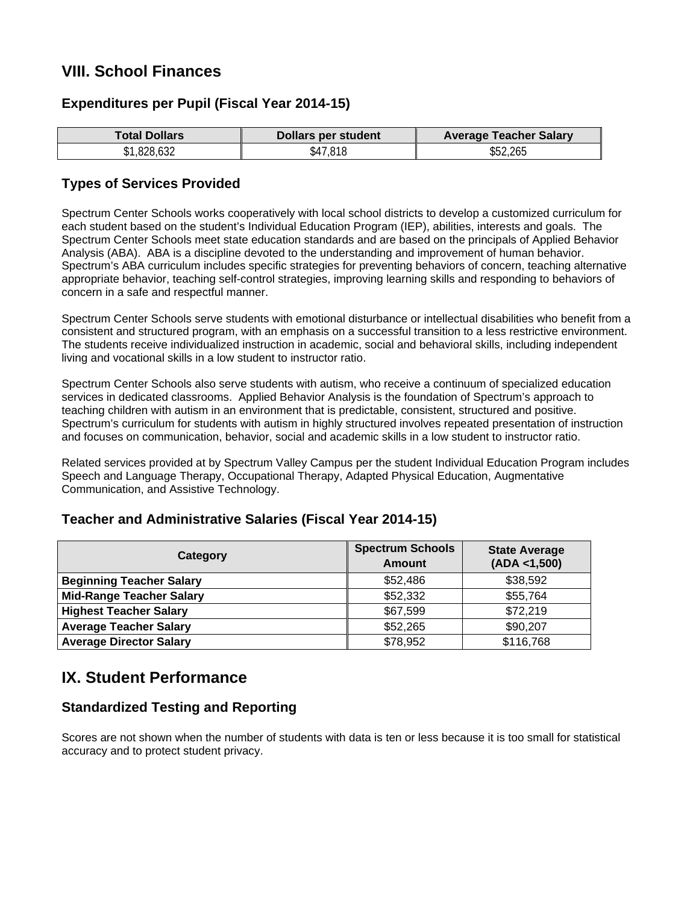## **VIII. School Finances**

### **Expenditures per Pupil (Fiscal Year 2014-15)**

| <b>Total Dollars</b> | Dollars per student | <b>Average Teacher Salary</b> |  |
|----------------------|---------------------|-------------------------------|--|
| \$1,828,632          | \$47,818            | \$52,265                      |  |

### **Types of Services Provided**

Spectrum Center Schools works cooperatively with local school districts to develop a customized curriculum for each student based on the student's Individual Education Program (IEP), abilities, interests and goals. The Spectrum Center Schools meet state education standards and are based on the principals of Applied Behavior Analysis (ABA). ABA is a discipline devoted to the understanding and improvement of human behavior. Spectrum's ABA curriculum includes specific strategies for preventing behaviors of concern, teaching alternative appropriate behavior, teaching self-control strategies, improving learning skills and responding to behaviors of concern in a safe and respectful manner.

Spectrum Center Schools serve students with emotional disturbance or intellectual disabilities who benefit from a consistent and structured program, with an emphasis on a successful transition to a less restrictive environment. The students receive individualized instruction in academic, social and behavioral skills, including independent living and vocational skills in a low student to instructor ratio.

Spectrum Center Schools also serve students with autism, who receive a continuum of specialized education services in dedicated classrooms. Applied Behavior Analysis is the foundation of Spectrum's approach to teaching children with autism in an environment that is predictable, consistent, structured and positive. Spectrum's curriculum for students with autism in highly structured involves repeated presentation of instruction and focuses on communication, behavior, social and academic skills in a low student to instructor ratio.

Related services provided at by Spectrum Valley Campus per the student Individual Education Program includes Speech and Language Therapy, Occupational Therapy, Adapted Physical Education, Augmentative Communication, and Assistive Technology.

#### **Category Spectrum Schools Amount State Average (ADA <1,500) Beginning Teacher Salary \$52,486 \$38,592 Mid-Range Teacher Salary \$52,332** \$55,764 **Highest Teacher Salary** \$67,599 \$72,219 **Average Teacher Salary \$52,265 \$90,207 Average Director Salary** \$78,952 \$116,768

### **Teacher and Administrative Salaries (Fiscal Year 2014-15)**

## **IX. Student Performance**

#### **Standardized Testing and Reporting**

Scores are not shown when the number of students with data is ten or less because it is too small for statistical accuracy and to protect student privacy.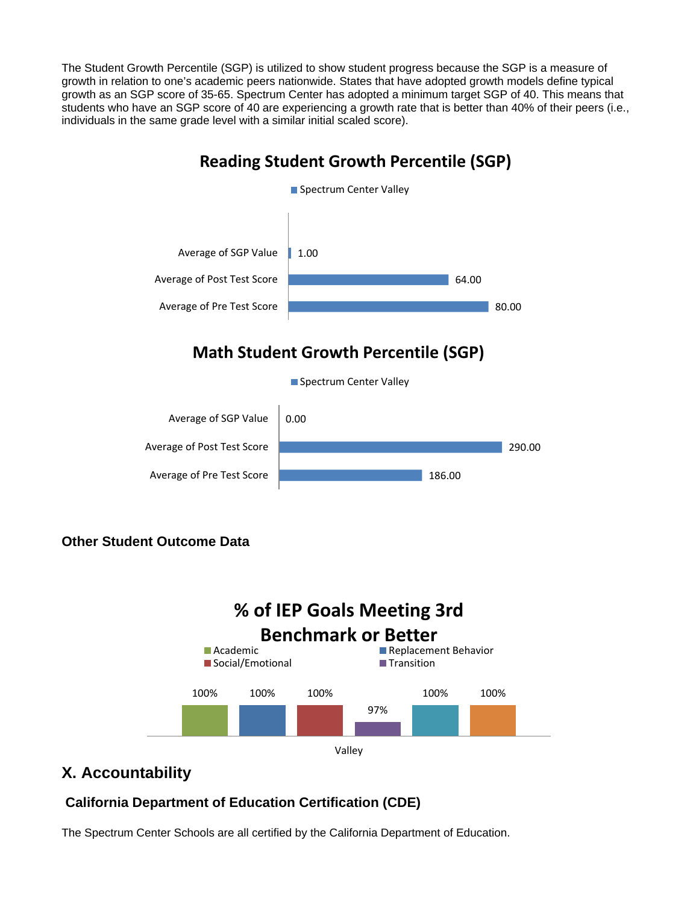The Student Growth Percentile (SGP) is utilized to show student progress because the SGP is a measure of growth in relation to one's academic peers nationwide. States that have adopted growth models define typical growth as an SGP score of 35-65. Spectrum Center has adopted a minimum target SGP of 40. This means that students who have an SGP score of 40 are experiencing a growth rate that is better than 40% of their peers (i.e., individuals in the same grade level with a similar initial scaled score).

# 80.00 64.00 1.00 Average of Pre Test Score Average of Post Test Score Average of SGP Value **Reading Student Growth Percentile (SGP)** Spectrum Center Valley 0.00 Average of SGP Value **Math Student Growth Percentile (SGP)** Spectrum Center Valley



## **Other Student Outcome Data**



## **X. Accountability**

### **California Department of Education Certification (CDE)**

The Spectrum Center Schools are all certified by the California Department of Education.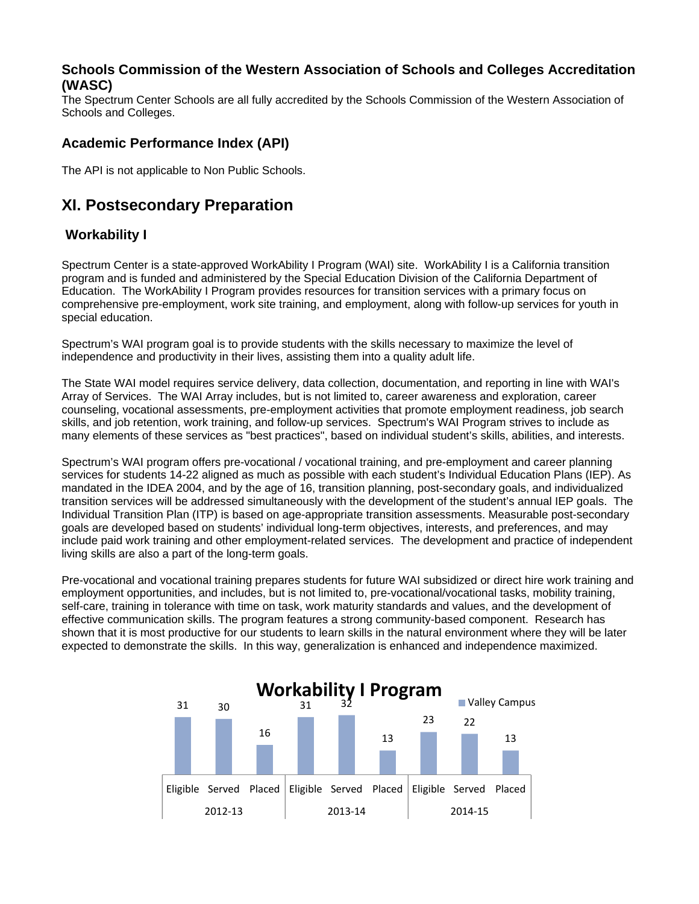#### **Schools Commission of the Western Association of Schools and Colleges Accreditation (WASC)**

The Spectrum Center Schools are all fully accredited by the Schools Commission of the Western Association of Schools and Colleges.

### **Academic Performance Index (API)**

The API is not applicable to Non Public Schools.

## **XI. Postsecondary Preparation**

### **Workability I**

Spectrum Center is a state-approved WorkAbility I Program (WAI) site. WorkAbility I is a California transition program and is funded and administered by the Special Education Division of the California Department of Education. The WorkAbility I Program provides resources for transition services with a primary focus on comprehensive pre-employment, work site training, and employment, along with follow-up services for youth in special education.

Spectrum's WAI program goal is to provide students with the skills necessary to maximize the level of independence and productivity in their lives, assisting them into a quality adult life.

The State WAI model requires service delivery, data collection, documentation, and reporting in line with WAI's Array of Services. The WAI Array includes, but is not limited to, career awareness and exploration, career counseling, vocational assessments, pre-employment activities that promote employment readiness, job search skills, and job retention, work training, and follow-up services. Spectrum's WAI Program strives to include as many elements of these services as "best practices", based on individual student's skills, abilities, and interests.

Spectrum's WAI program offers pre-vocational / vocational training, and pre-employment and career planning services for students 14-22 aligned as much as possible with each student's Individual Education Plans (IEP). As mandated in the IDEA 2004, and by the age of 16, transition planning, post-secondary goals, and individualized transition services will be addressed simultaneously with the development of the student's annual IEP goals. The Individual Transition Plan (ITP) is based on age-appropriate transition assessments. Measurable post-secondary goals are developed based on students' individual long-term objectives, interests, and preferences, and may include paid work training and other employment-related services. The development and practice of independent living skills are also a part of the long-term goals.

Pre-vocational and vocational training prepares students for future WAI subsidized or direct hire work training and employment opportunities, and includes, but is not limited to, pre-vocational/vocational tasks, mobility training, self-care, training in tolerance with time on task, work maturity standards and values, and the development of effective communication skills. The program features a strong community-based component. Research has shown that it is most productive for our students to learn skills in the natural environment where they will be later expected to demonstrate the skills. In this way, generalization is enhanced and independence maximized.